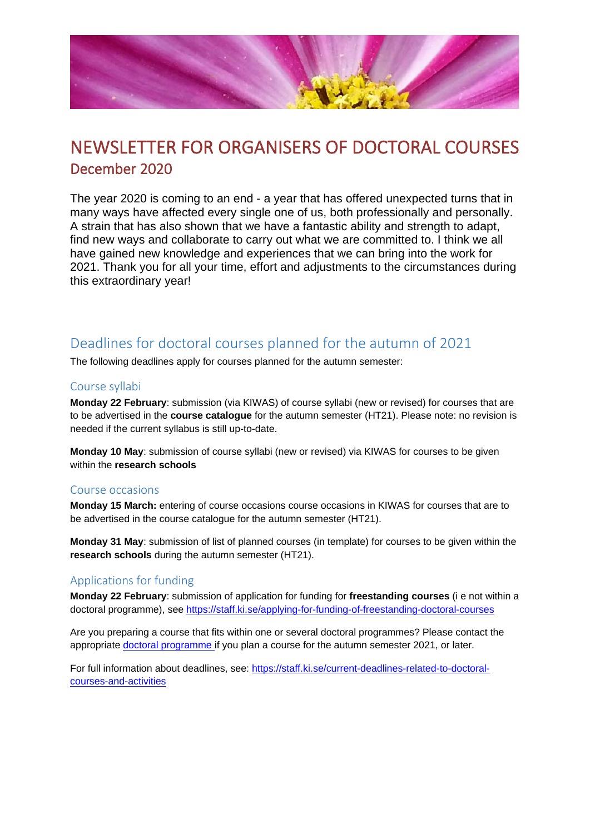

# NEWSLETTER FOR ORGANISERS OF DOCTORAL COURSES December 2020

The year 2020 is coming to an end - a year that has offered unexpected turns that in many ways have affected every single one of us, both professionally and personally. A strain that has also shown that we have a fantastic ability and strength to adapt, find new ways and collaborate to carry out what we are committed to. I think we all have gained new knowledge and experiences that we can bring into the work for 2021. Thank you for all your time, effort and adjustments to the circumstances during this extraordinary year!

### Deadlines for doctoral courses planned for the autumn of 2021

The following deadlines apply for courses planned for the autumn semester:

#### Course syllabi

**Monday 22 February**: submission (via KIWAS) of course syllabi (new or revised) for courses that are to be advertised in the **course catalogue** for the autumn semester (HT21). Please note: no revision is needed if the current syllabus is still up-to-date.

**Monday 10 May**: submission of course syllabi (new or revised) via KIWAS for courses to be given within the **research schools**

#### Course occasions

**Monday 15 March:** entering of course occasions course occasions in KIWAS for courses that are to be advertised in the course catalogue for the autumn semester (HT21).

**Monday 31 May**: submission of list of planned courses (in template) for courses to be given within the **research schools** during the autumn semester (HT21).

#### Applications for funding

**Monday 22 February**: submission of application for funding for **freestanding courses** (i e not within a doctoral programme), see <https://staff.ki.se/applying-for-funding-of-freestanding-doctoral-courses>

Are you preparing a course that fits within one or several doctoral programmes? Please contact the appropriate [doctoral programme if](https://staff.ki.se/doctoral-programmes) you plan a course for the autumn semester 2021, or later.

For full information about deadlines, see: [https://staff.ki.se/current-deadlines-related-to-doctoral](https://staff.ki.se/current-deadlines-related-to-doctoral-courses-and-activities)[courses-and-activities](https://staff.ki.se/current-deadlines-related-to-doctoral-courses-and-activities)